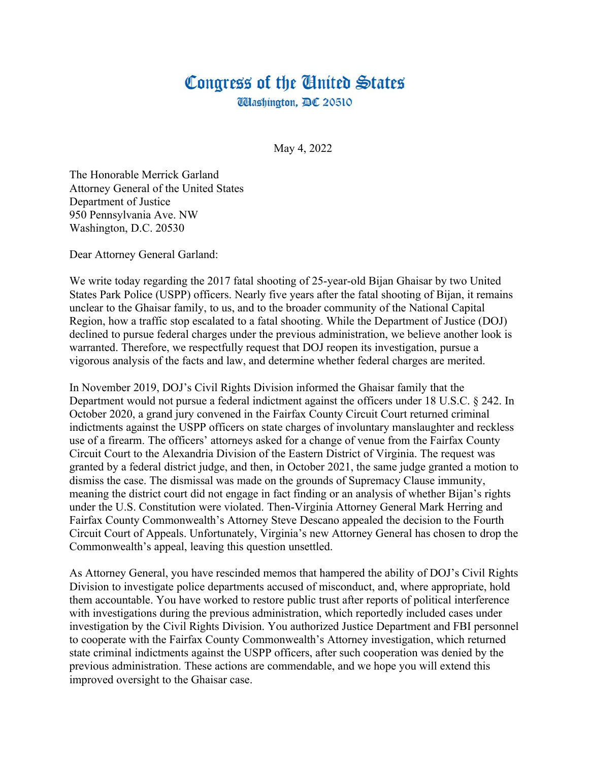## Congress of the United States **Washington, DC 20510**

May 4, 2022

The Honorable Merrick Garland Attorney General of the United States Department of Justice 950 Pennsylvania Ave. NW Washington, D.C. 20530

Dear Attorney General Garland:

We write today regarding the 2017 fatal shooting of 25-year-old Bijan Ghaisar by two United States Park Police (USPP) officers. Nearly five years after the fatal shooting of Bijan, it remains unclear to the Ghaisar family, to us, and to the broader community of the National Capital Region, how a traffic stop escalated to a fatal shooting. While the Department of Justice (DOJ) declined to pursue federal charges under the previous administration, we believe another look is warranted. Therefore, we respectfully request that DOJ reopen its investigation, pursue a vigorous analysis of the facts and law, and determine whether federal charges are merited.

In November 2019, DOJ's Civil Rights Division informed the Ghaisar family that the Department would not pursue a federal indictment against the officers under 18 U.S.C. § 242. In October 2020, a grand jury convened in the Fairfax County Circuit Court returned criminal indictments against the USPP officers on state charges of involuntary manslaughter and reckless use of a firearm. The officers' attorneys asked for a change of venue from the Fairfax County Circuit Court to the Alexandria Division of the Eastern District of Virginia. The request was granted by a federal district judge, and then, in October 2021, the same judge granted a motion to dismiss the case. The dismissal was made on the grounds of Supremacy Clause immunity, meaning the district court did not engage in fact finding or an analysis of whether Bijan's rights under the U.S. Constitution were violated. Then-Virginia Attorney General Mark Herring and Fairfax County Commonwealth's Attorney Steve Descano appealed the decision to the Fourth Circuit Court of Appeals. Unfortunately, Virginia's new Attorney General has chosen to drop the Commonwealth's appeal, leaving this question unsettled.

As Attorney General, you have rescinded memos that hampered the ability of DOJ's Civil Rights Division to investigate police departments accused of misconduct, and, where appropriate, hold them accountable. You have worked to restore public trust after reports of political interference with investigations during the previous administration, which reportedly included cases under investigation by the Civil Rights Division. You authorized Justice Department and FBI personnel to cooperate with the Fairfax County Commonwealth's Attorney investigation, which returned state criminal indictments against the USPP officers, after such cooperation was denied by the previous administration. These actions are commendable, and we hope you will extend this improved oversight to the Ghaisar case.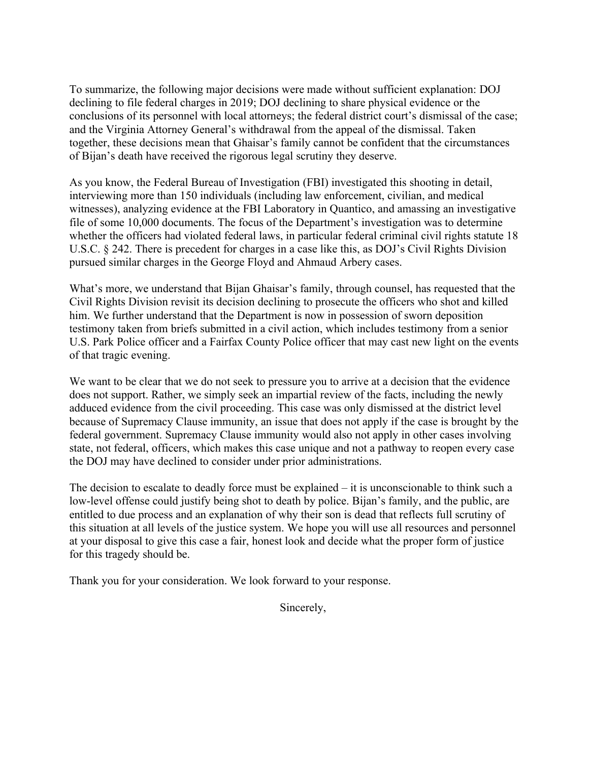To summarize, the following major decisions were made without sufficient explanation: DOJ declining to file federal charges in 2019; DOJ declining to share physical evidence or the conclusions of its personnel with local attorneys; the federal district court's dismissal of the case; and the Virginia Attorney General's withdrawal from the appeal of the dismissal. Taken together, these decisions mean that Ghaisar's family cannot be confident that the circumstances of Bijan's death have received the rigorous legal scrutiny they deserve.

As you know, the Federal Bureau of Investigation (FBI) investigated this shooting in detail, interviewing more than 150 individuals (including law enforcement, civilian, and medical witnesses), analyzing evidence at the FBI Laboratory in Quantico, and amassing an investigative file of some 10,000 documents. The focus of the Department's investigation was to determine whether the officers had violated federal laws, in particular federal criminal civil rights statute 18 U.S.C. § 242. There is precedent for charges in a case like this, as DOJ's Civil Rights Division pursued similar charges in the George Floyd and Ahmaud Arbery cases.

What's more, we understand that Bijan Ghaisar's family, through counsel, has requested that the Civil Rights Division revisit its decision declining to prosecute the officers who shot and killed him. We further understand that the Department is now in possession of sworn deposition testimony taken from briefs submitted in a civil action, which includes testimony from a senior U.S. Park Police officer and a Fairfax County Police officer that may cast new light on the events of that tragic evening.

We want to be clear that we do not seek to pressure you to arrive at a decision that the evidence does not support. Rather, we simply seek an impartial review of the facts, including the newly adduced evidence from the civil proceeding. This case was only dismissed at the district level because of Supremacy Clause immunity, an issue that does not apply if the case is brought by the federal government. Supremacy Clause immunity would also not apply in other cases involving state, not federal, officers, which makes this case unique and not a pathway to reopen every case the DOJ may have declined to consider under prior administrations.

The decision to escalate to deadly force must be explained – it is unconscionable to think such a low-level offense could justify being shot to death by police. Bijan's family, and the public, are entitled to due process and an explanation of why their son is dead that reflects full scrutiny of this situation at all levels of the justice system. We hope you will use all resources and personnel at your disposal to give this case a fair, honest look and decide what the proper form of justice for this tragedy should be.

Thank you for your consideration. We look forward to your response.

Sincerely,